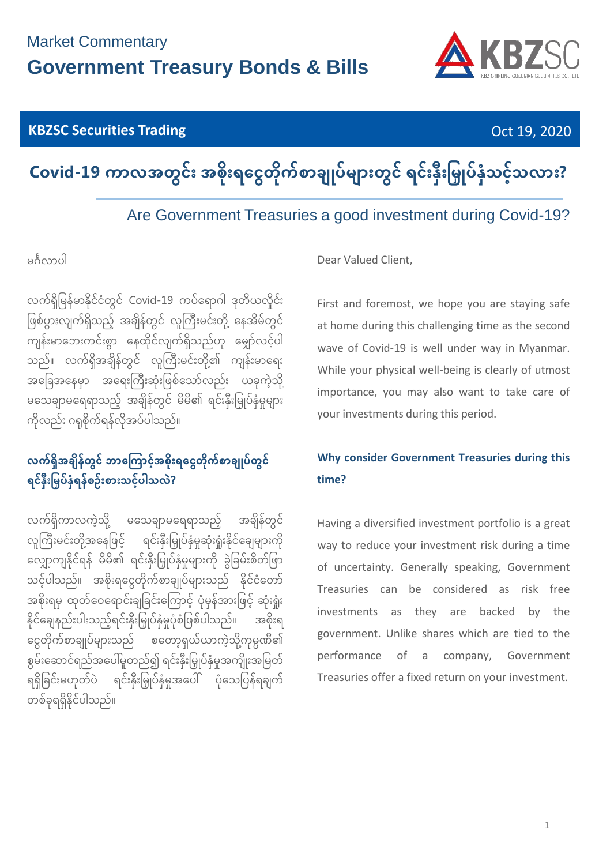## **KBZSC Securities Trading CONSERVING CONSERVATION CONSERVATION CONSERVATION CONSERVATION**



#### $\boldsymbol{\mathsf{C}\text{-}\mathsf{ov}}$ ၊ (ခော်လား) အစိုးရငွေတိုက်စာချုပ်များတွင် ရင်းနှီးမြှုပ်နှံသင့်သလား?

Are Government Treasuries a good investment during Covid-19?

မင်္ဂလာပါ

လက်ရှိမြန်မာနိုင်ငံတွင် Covid-19 ကပ်ရောဂါ ဒုတိယလှိုင်း ဖြစ်ပွားလျက်ရှိသည့် အချိန်တွင် လူကြီးမင်းတို့ နေအိမ်တွင် ကျန်းမာဘေးကင်းစွာ နေထိုင်လျက်ရှိသည်ဟု မျှော်လင့်ပါ သည်။ လက်ရှိအချိန်တွင် လူကြီးမင်းတို့၏ ကျန်းမာရေး အခြေအနေမှာ အရေးကြီးဆုံးဖြစ်သော်လည်း ယခုကဲ့သို့ မသေချာမရေရာသည့် အချိန်တွင် မိမိ၏ ရင်းနှီးမြှုပ်နှံမှုများ  $\overline{1}$ ကိုလည်း ဂရုစိုက်ရန်လိုအပ်ပါသည်။

# လက်ရှိအချိန်တွင် ဘာကြောင့်အစိုးရငွေတိုက်စာချုပ်တွင် ရင်နိုးမြှပ်နှံရန်စဉ်းစားသင့်ပါသလဲ?

လက်ရှိကာလကဲ့သို့ မသေချာမရေရာသည့် အချိန်တွင် လူကြီးမင်းတို့အနေဖြင့် ရင်းနှီးမြှုပ်နှံမှုဆုံးရှုံးနိုင်ချေများကို  $\overline{a}$ လျှော့ကျနိုင်ရန် မိမိ၏ ရင်းနှီးမြှုပ်နှံမှုများကို ခွဲခြမ်းစိတ်ဖြာ j သင့်ပါသည်။ အစိုးရငွေတိုက်စာချုပ်များသည် နိုင်ငံတော် အစိုးရမှ ထုတ်ဝေရောင်းချခြင်းကြောင့် ပုံမှန်အားဖြင့် ဆုံးရှုံး နိုင်ချေနည်းပါးသည့်ရင်းနှီးမြှုပ်နှံမှုပုံစံဖြစ်ပါသည်။ အစိုးရ  $\overline{a}$ ငွေတိုက်စာချုပ်များသည် စတော့ရှယ်ယာကဲ့သို့ကုမ္ပဏီ၏ စွမ်းဆောင်ရည်အပေါ်မူတည်၍ ရင်းနှီးမြှုပ်နှံမှုအကျိုးအမြတ်  $\overline{a}$ ရရှိခြင်းမဟုတ်ပဲ ရင်းနှီးမြှုပ်နှံမှုအပေါ် ပုံသေပြန်ရချက်  $\overline{a}$ တစ်ခို ရ ှိနှိိုင်ပါသည်။

Dear Valued Client,

First and foremost, we hope you are staying safe at home during this challenging time as the second wave of Covid-19 is well under way in Myanmar. While your physical well-being is clearly of utmost importance, you may also want to take care of your investments during this period.

## **Why consider Government Treasuries during this time?**

Having a diversified investment portfolio is a great way to reduce your investment risk during a time of uncertainty. Generally speaking, Government Treasuries can be considered as risk free investments as they are backed by the government. Unlike shares which are tied to the performance of a company, Government Treasuries offer a fixed return on your investment.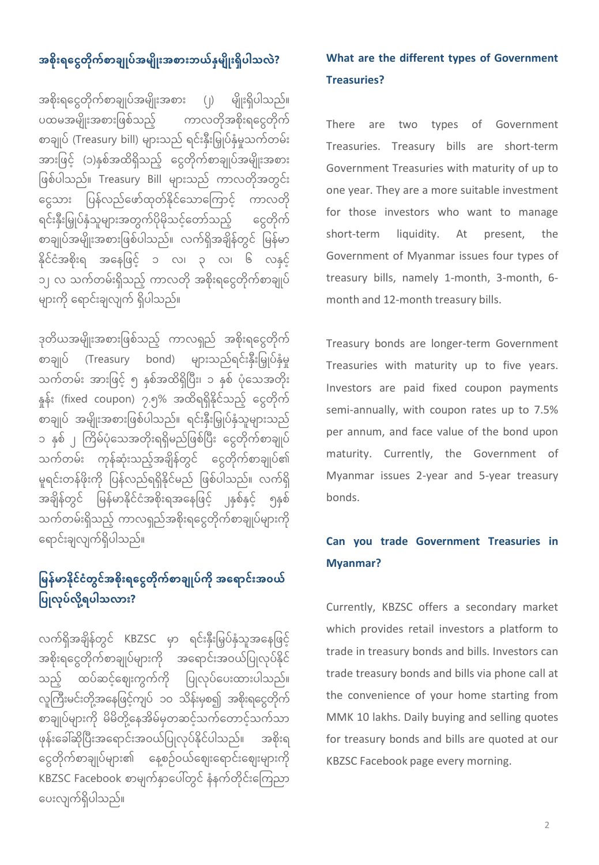# အစိုးရငွေတိုက်စာချုပ်အမျိုးအစားဘယ်နမျိုးရှိပါသလဲ?

အစိုးရငွေတိုက်စာချုပ်အမျိုးအစား (၂) မျိုးရှိပါသည်။ ပထမအမျိုးအစားဖြစ်သည့် ကာလတိုအစိုးရငွေတိုက် စာချုပ် (Treasury bill) များသည် ရင်းနှီးမြှုပ်နှံမှုသက်တမ်း  $\overline{1}$ အားဖြင့် (၁)နှစ်အထိရှိသည့် ငွေတိုက်စာချုပ်အမျိုးအစား ဖြစ်ပါသည်။ Treasury Bill များသည် ကာလတိုအတွင်း ငွေသား ပြန်လည်ဖော်ထုတ်နိုင်သောကြောင့် ကာလတို ရင်းနှီးမြှုပ်နှံသူများအတွက်ပိုမိုသင့်တော်သည့် ငွေတိုက်  $\overline{1}$ စာချုပ်အမျိုးအစားဖြစ်ပါသည်။ လက်ရှိအချိန်တွင် မြန်မာ နိုင်ငံအစိုးရ အနေဖြင့် ၁ လ၊ ၃ လ၊ ၆ လနှင့် ၁၂ လ သက်တမ်းရှိသည့် ကာလတို အစိုးရငွေတိုက်စာချုပ် များကို ရောင်းချလျက် ရှိပါသည်။

ဒုတိယအမျိုးအစားဖြစ်သည့် ကာလရှည် အစိုးရငွေတိုက် စာချုပ် (Treasury bond) များသည်ရင်းနှီးမြှုပ်နှံမှု သက်တမ်း အားဖြင့် ၅ နှစ်အထိရှိပြီး၊ ၁ နှစ် ပုံသေအတိုး နှန်း (fixed coupon) ၇.၅% အထိရရှိနိုင်သည့် ငွေတိုက် စာချုပ် အမျိုးအစားဖြစ်ပါသည်။ ရင်းနှီးမြှုပ်နှံသူများသည်  $\overline{1}$ ၁ နှစ် ၂ ကြိမ်ပုံသေအတိုးရရှိမည်ဖြစ်ပြီး ငွေတိုက်စာချုပ် သက်တမ်း ကုန်ဆုံးသည့်အချိန်တွင် ငွေတိုက်စာချုပ်၏ မူရင်းတန်ဖိုးကို ပြန်လည်ရရှိနိုင်မည် ဖြစ်ပါသည်။ လက်ရှိ အချိန်တွင် မြန်မာနိုင်ငံအစိုးရအနေဖြင့် ၊နှစ်နှင့် ၅နှစ် သက်တမ်းရှိသည့် ကာလရှည်အစိုးရငွေတိုက်စာချုပ်များကို ရောင်းချလျက်ရှိပါသည်။

# မြန်မာနိုင်ငံတွင်အစိုးရငွေတိုက်စာချုပ်ကို အရောင်းအဝယ် **မပျုလပို ် လရ ို့်ပ သလာ်း?**

လက်ရှိအချိန်တွင် KBZSC မှာ ရင်းနှီးမြှပ်နှံသူအနေဖြင့် အစိုးရငွေတိုက်စာချုပ်များကို အရောင်းအဝယ်ပြုလုပ်နိုင် သည့် ထပ်ဆင့်ဈေးကွက်ကို ပြုလုပ်ပေးထားပါသည်။ လူကြီးမင်းတို့အနေဖြင့်ကျပ် ၁ဝ သိန်းမှစ၍ အစိုးရငွေတိုက် စာချုပ်များကို မိမိတို့နေအိမ်မှတဆင့်သက်တောင့်သက်သာ ဖုန်းခေါ်ဆိုပြီးအရောင်းအဝယ်ပြုလုပ်နိုင်ပါသည်။ အစိုးရ ငွေတိုက်စာချုပ်များ၏ နေ့စဉ်ဝယ်ဈေးရောင်းဈေးများကို KBZSC Facebook စာမျက်နှာပေါ်တွင် နံနက်တိုင်းကြေညာ ပေးလျက်ရှိပါသည်။

## **What are the different types of Government Treasuries?**

There are two types of Government Treasuries. Treasury bills are short-term Government Treasuries with maturity of up to one year. They are a more suitable investment for those investors who want to manage short-term liquidity. At present, the Government of Myanmar issues four types of treasury bills, namely 1-month, 3-month, 6 month and 12-month treasury bills.

Treasury bonds are longer-term Government Treasuries with maturity up to five years. Investors are paid fixed coupon payments semi-annually, with coupon rates up to 7.5% per annum, and face value of the bond upon maturity. Currently, the Government of Myanmar issues 2-year and 5-year treasury bonds.

## **Can you trade Government Treasuries in Myanmar?**

Currently, KBZSC offers a secondary market which provides retail investors a platform to trade in treasury bonds and bills. Investors can trade treasury bonds and bills via phone call at the convenience of your home starting from MMK 10 lakhs. Daily buying and selling quotes for treasury bonds and bills are quoted at our KBZSC Facebook page every morning.